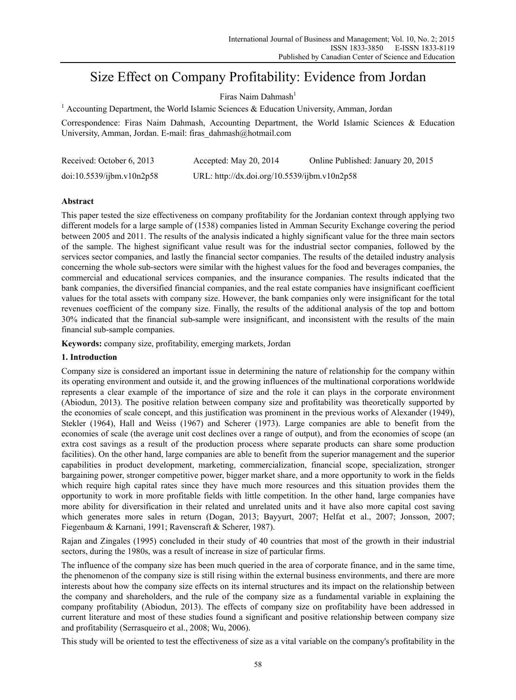# Size Effect on Company Profitability: Evidence from Jordan

Firas Naim Dahmash<sup>1</sup>

<sup>1</sup> Accounting Department, the World Islamic Sciences & Education University, Amman, Jordan

Correspondence: Firas Naim Dahmash, Accounting Department, the World Islamic Sciences & Education University, Amman, Jordan. E-mail: firas\_dahmash@hotmail.com

| Received: October 6, 2013 | Accepted: May $20, 2014$                     | Online Published: January 20, 2015 |
|---------------------------|----------------------------------------------|------------------------------------|
| doi:10.5539/ijbm.v10n2p58 | URL: http://dx.doi.org/10.5539/ijbm.v10n2p58 |                                    |

## **Abstract**

This paper tested the size effectiveness on company profitability for the Jordanian context through applying two different models for a large sample of (1538) companies listed in Amman Security Exchange covering the period between 2005 and 2011. The results of the analysis indicated a highly significant value for the three main sectors of the sample. The highest significant value result was for the industrial sector companies, followed by the services sector companies, and lastly the financial sector companies. The results of the detailed industry analysis concerning the whole sub-sectors were similar with the highest values for the food and beverages companies, the commercial and educational services companies, and the insurance companies. The results indicated that the bank companies, the diversified financial companies, and the real estate companies have insignificant coefficient values for the total assets with company size. However, the bank companies only were insignificant for the total revenues coefficient of the company size. Finally, the results of the additional analysis of the top and bottom 30% indicated that the financial sub-sample were insignificant, and inconsistent with the results of the main financial sub-sample companies.

**Keywords:** company size, profitability, emerging markets, Jordan

### **1. Introduction**

Company size is considered an important issue in determining the nature of relationship for the company within its operating environment and outside it, and the growing influences of the multinational corporations worldwide represents a clear example of the importance of size and the role it can plays in the corporate environment (Abiodun, 2013). The positive relation between company size and profitability was theoretically supported by the economies of scale concept, and this justification was prominent in the previous works of Alexander (1949), Stekler (1964), Hall and Weiss (1967) and Scherer (1973). Large companies are able to benefit from the economies of scale (the average unit cost declines over a range of output), and from the economies of scope (an extra cost savings as a result of the production process where separate products can share some production facilities). On the other hand, large companies are able to benefit from the superior management and the superior capabilities in product development, marketing, commercialization, financial scope, specialization, stronger bargaining power, stronger competitive power, bigger market share, and a more opportunity to work in the fields which require high capital rates since they have much more resources and this situation provides them the opportunity to work in more profitable fields with little competition. In the other hand, large companies have more ability for diversification in their related and unrelated units and it have also more capital cost saving which generates more sales in return (Dogan, 2013; Bayyurt, 2007; Helfat et al., 2007; Jonsson, 2007; Fiegenbaum & Karnani, 1991; Ravenscraft & Scherer, 1987).

Rajan and Zingales (1995) concluded in their study of 40 countries that most of the growth in their industrial sectors, during the 1980s, was a result of increase in size of particular firms.

The influence of the company size has been much queried in the area of corporate finance, and in the same time, the phenomenon of the company size is still rising within the external business environments, and there are more interests about how the company size effects on its internal structures and its impact on the relationship between the company and shareholders, and the rule of the company size as a fundamental variable in explaining the company profitability (Abiodun, 2013). The effects of company size on profitability have been addressed in current literature and most of these studies found a significant and positive relationship between company size and profitability (Serrasqueiro et al., 2008; Wu, 2006).

This study will be oriented to test the effectiveness of size as a vital variable on the company's profitability in the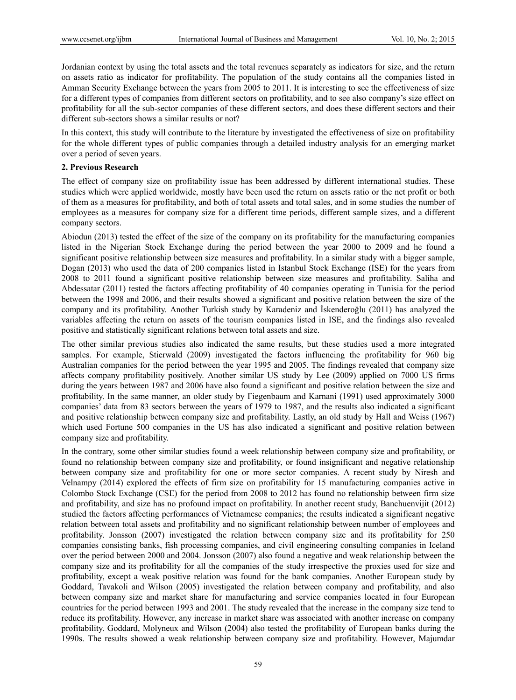Jordanian context by using the total assets and the total revenues separately as indicators for size, and the return on assets ratio as indicator for profitability. The population of the study contains all the companies listed in Amman Security Exchange between the years from 2005 to 2011. It is interesting to see the effectiveness of size for a different types of companies from different sectors on profitability, and to see also company's size effect on profitability for all the sub-sector companies of these different sectors, and does these different sectors and their different sub-sectors shows a similar results or not?

In this context, this study will contribute to the literature by investigated the effectiveness of size on profitability for the whole different types of public companies through a detailed industry analysis for an emerging market over a period of seven years.

#### **2. Previous Research**

The effect of company size on profitability issue has been addressed by different international studies. These studies which were applied worldwide, mostly have been used the return on assets ratio or the net profit or both of them as a measures for profitability, and both of total assets and total sales, and in some studies the number of employees as a measures for company size for a different time periods, different sample sizes, and a different company sectors.

Abiodun (2013) tested the effect of the size of the company on its profitability for the manufacturing companies listed in the Nigerian Stock Exchange during the period between the year 2000 to 2009 and he found a significant positive relationship between size measures and profitability. In a similar study with a bigger sample, Dogan (2013) who used the data of 200 companies listed in Istanbul Stock Exchange (ISE) for the years from 2008 to 2011 found a significant positive relationship between size measures and profitability. Saliha and Abdessatar (2011) tested the factors affecting profitability of 40 companies operating in Tunisia for the period between the 1998 and 2006, and their results showed a significant and positive relation between the size of the company and its profitability. Another Turkish study by Karadeniz and İskenderoğlu (2011) has analyzed the variables affecting the return on assets of the tourism companies listed in ISE, and the findings also revealed positive and statistically significant relations between total assets and size.

The other similar previous studies also indicated the same results, but these studies used a more integrated samples. For example, Stierwald (2009) investigated the factors influencing the profitability for 960 big Australian companies for the period between the year 1995 and 2005. The findings revealed that company size affects company profitability positively. Another similar US study by Lee (2009) applied on 7000 US firms during the years between 1987 and 2006 have also found a significant and positive relation between the size and profitability. In the same manner, an older study by Fiegenbaum and Karnani (1991) used approximately 3000 companies' data from 83 sectors between the years of 1979 to 1987, and the results also indicated a significant and positive relationship between company size and profitability. Lastly, an old study by Hall and Weiss (1967) which used Fortune 500 companies in the US has also indicated a significant and positive relation between company size and profitability.

In the contrary, some other similar studies found a week relationship between company size and profitability, or found no relationship between company size and profitability, or found insignificant and negative relationship between company size and profitability for one or more sector companies. A recent study by Niresh and Velnampy (2014) explored the effects of firm size on profitability for 15 manufacturing companies active in Colombo Stock Exchange (CSE) for the period from 2008 to 2012 has found no relationship between firm size and profitability, and size has no profound impact on profitability. In another recent study, Banchuenvijit (2012) studied the factors affecting performances of Vietnamese companies; the results indicated a significant negative relation between total assets and profitability and no significant relationship between number of employees and profitability. Jonsson (2007) investigated the relation between company size and its profitability for 250 companies consisting banks, fish processing companies, and civil engineering consulting companies in Iceland over the period between 2000 and 2004. Jonsson (2007) also found a negative and weak relationship between the company size and its profitability for all the companies of the study irrespective the proxies used for size and profitability, except a weak positive relation was found for the bank companies. Another European study by Goddard, Tavakoli and Wilson (2005) investigated the relation between company and profitability, and also between company size and market share for manufacturing and service companies located in four European countries for the period between 1993 and 2001. The study revealed that the increase in the company size tend to reduce its profitability. However, any increase in market share was associated with another increase on company profitability. Goddard, Molyneux and Wilson (2004) also tested the profitability of European banks during the 1990s. The results showed a weak relationship between company size and profitability. However, Majumdar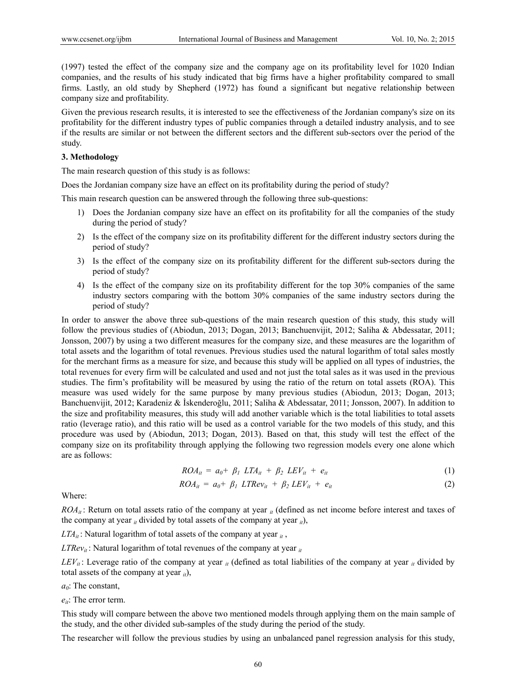(1997) tested the effect of the company size and the company age on its profitability level for 1020 Indian companies, and the results of his study indicated that big firms have a higher profitability compared to small firms. Lastly, an old study by Shepherd (1972) has found a significant but negative relationship between company size and profitability.

Given the previous research results, it is interested to see the effectiveness of the Jordanian company's size on its profitability for the different industry types of public companies through a detailed industry analysis, and to see if the results are similar or not between the different sectors and the different sub-sectors over the period of the study.

#### **3. Methodology**

The main research question of this study is as follows:

Does the Jordanian company size have an effect on its profitability during the period of study?

This main research question can be answered through the following three sub-questions:

- 1) Does the Jordanian company size have an effect on its profitability for all the companies of the study during the period of study?
- 2) Is the effect of the company size on its profitability different for the different industry sectors during the period of study?
- 3) Is the effect of the company size on its profitability different for the different sub-sectors during the period of study?
- 4) Is the effect of the company size on its profitability different for the top 30% companies of the same industry sectors comparing with the bottom 30% companies of the same industry sectors during the period of study?

In order to answer the above three sub-questions of the main research question of this study, this study will follow the previous studies of (Abiodun, 2013; Dogan, 2013; Banchuenvijit, 2012; Saliha & Abdessatar, 2011; Jonsson, 2007) by using a two different measures for the company size, and these measures are the logarithm of total assets and the logarithm of total revenues. Previous studies used the natural logarithm of total sales mostly for the merchant firms as a measure for size, and because this study will be applied on all types of industries, the total revenues for every firm will be calculated and used and not just the total sales as it was used in the previous studies. The firm's profitability will be measured by using the ratio of the return on total assets (ROA). This measure was used widely for the same purpose by many previous studies (Abiodun, 2013; Dogan, 2013; Banchuenvijit, 2012; Karadeniz & İskenderoğlu, 2011; Saliha & Abdessatar, 2011; Jonsson, 2007). In addition to the size and profitability measures, this study will add another variable which is the total liabilities to total assets ratio (leverage ratio), and this ratio will be used as a control variable for the two models of this study, and this procedure was used by (Abiodun, 2013; Dogan, 2013). Based on that, this study will test the effect of the company size on its profitability through applying the following two regression models every one alone which are as follows:

$$
ROA_{it} = a_0 + \beta_1 LTA_{it} + \beta_2 LEV_{it} + e_{it}
$$
 (1)

$$
ROA_{it} = a_0 + \beta_1 \ LTRev_{it} + \beta_2 \ LEV_{it} + e_{it} \tag{2}
$$

#### Where:

*ROAit* : Return on total assets ratio of the company at year *it* (defined as net income before interest and taxes of the company at year  $\mu$  divided by total assets of the company at year  $\mu$ ),

*LTA<sub>it</sub>*: Natural logarithm of total assets of the company at year  $_{it}$ ,

*LTRev<sub>it</sub>*: Natural logarithm of total revenues of the company at year  $\hat{u}$ 

 $LEV_{it}$ : Leverage ratio of the company at year  $it$  (defined as total liabilities of the company at year  $it$  divided by total assets of the company at year *it*),

*a0*: The constant,

*eit*: The error term.

This study will compare between the above two mentioned models through applying them on the main sample of the study, and the other divided sub-samples of the study during the period of the study.

The researcher will follow the previous studies by using an unbalanced panel regression analysis for this study,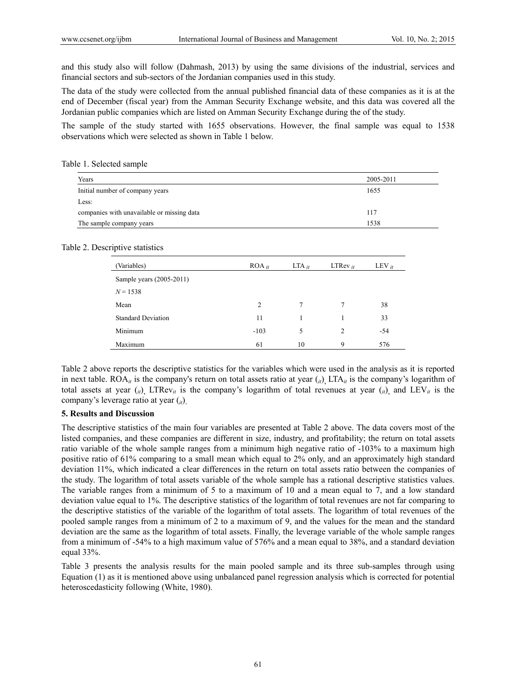and this study also will follow (Dahmash, 2013) by using the same divisions of the industrial, services and financial sectors and sub-sectors of the Jordanian companies used in this study.

The data of the study were collected from the annual published financial data of these companies as it is at the end of December (fiscal year) from the Amman Security Exchange website, and this data was covered all the Jordanian public companies which are listed on Amman Security Exchange during the of the study.

The sample of the study started with 1655 observations. However, the final sample was equal to 1538 observations which were selected as shown in Table 1 below.

Table 1. Selected sample

| Years                                      | 2005-2011 |
|--------------------------------------------|-----------|
| Initial number of company years            | 1655      |
| Less:                                      |           |
| companies with unavailable or missing data | 117       |
| The sample company years                   | 1538      |

Table 2. Descriptive statistics

| (Variables)               | $ROA_{it}$ | $LTA_{it}$ | LTRev $_{it}$ | LEV $_{it}$ |
|---------------------------|------------|------------|---------------|-------------|
| Sample years (2005-2011)  |            |            |               |             |
| $N = 1538$                |            |            |               |             |
| Mean                      | 2          | 7          | 7             | 38          |
| <b>Standard Deviation</b> | 11         |            |               | 33          |
| Minimum                   | $-103$     | 5          | 2             | $-54$       |
| Maximum                   | 61         | 10         | 9             | 576         |

Table 2 above reports the descriptive statistics for the variables which were used in the analysis as it is reported in next table. ROA<sub>*it*</sub> is the company's return on total assets ratio at year  $(i)$ , LTA<sub>*it*</sub> is the company's logarithm of total assets at year  $(i)$ , LTRev<sub>it</sub> is the company's logarithm of total revenues at year  $(i)$ , and LEV<sub>it</sub> is the company's leverage ratio at year (*it*).

#### **5. Results and Discussion**

The descriptive statistics of the main four variables are presented at Table 2 above. The data covers most of the listed companies, and these companies are different in size, industry, and profitability; the return on total assets ratio variable of the whole sample ranges from a minimum high negative ratio of -103% to a maximum high positive ratio of 61% comparing to a small mean which equal to 2% only, and an approximately high standard deviation 11%, which indicated a clear differences in the return on total assets ratio between the companies of the study. The logarithm of total assets variable of the whole sample has a rational descriptive statistics values. The variable ranges from a minimum of 5 to a maximum of 10 and a mean equal to 7, and a low standard deviation value equal to 1%. The descriptive statistics of the logarithm of total revenues are not far comparing to the descriptive statistics of the variable of the logarithm of total assets. The logarithm of total revenues of the pooled sample ranges from a minimum of 2 to a maximum of 9, and the values for the mean and the standard deviation are the same as the logarithm of total assets. Finally, the leverage variable of the whole sample ranges from a minimum of -54% to a high maximum value of 576% and a mean equal to 38%, and a standard deviation equal 33%.

Table 3 presents the analysis results for the main pooled sample and its three sub-samples through using Equation (1) as it is mentioned above using unbalanced panel regression analysis which is corrected for potential heteroscedasticity following (White, 1980).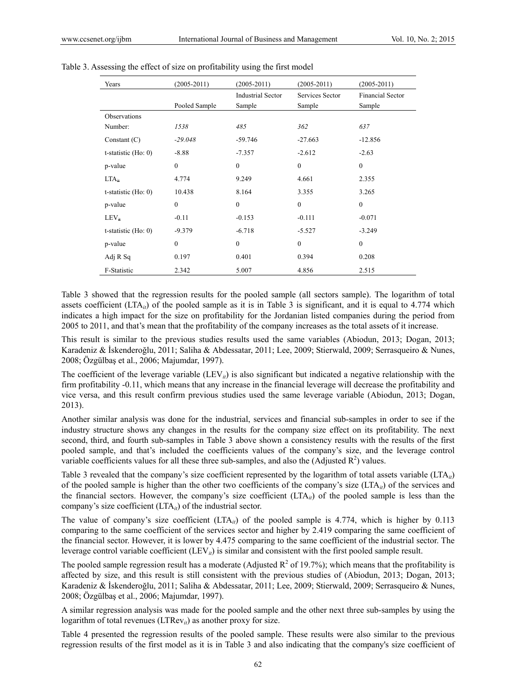| Years                  | $(2005 - 2011)$  | $(2005 - 2011)$          | $(2005 - 2011)$ | $(2005 - 2011)$         |
|------------------------|------------------|--------------------------|-----------------|-------------------------|
|                        |                  | <b>Industrial Sector</b> | Services Sector | <b>Financial Sector</b> |
|                        | Pooled Sample    | Sample                   | Sample          | Sample                  |
| Observations           |                  |                          |                 |                         |
| Number:                | 1538             | 485                      | 362             | 637                     |
| Constant $(C)$         | $-29.048$        | $-59.746$                | $-27.663$       | $-12.856$               |
| $t$ -statistic (Ho: 0) | $-8.88$          | $-7.357$                 | $-2.612$        | $-2.63$                 |
| p-value                | $\mathbf{0}$     | $\mathbf{0}$             | $\theta$        | $\mathbf{0}$            |
| LTA <sub>ii</sub>      | 4.774            | 9.249                    | 4.661           | 2.355                   |
| t-statistic $(Ho: 0)$  | 10.438           | 8.164                    | 3.355           | 3.265                   |
| p-value                | $\boldsymbol{0}$ | $\theta$                 | $\theta$        | $\mathbf{0}$            |
| $LEV_{\dot{\imath}}$   | $-0.11$          | $-0.153$                 | $-0.111$        | $-0.071$                |
| $t$ -statistic (Ho: 0) | $-9.379$         | $-6.718$                 | $-5.527$        | $-3.249$                |
| p-value                | $\boldsymbol{0}$ | $\mathbf{0}$             | $\mathbf{0}$    | $\mathbf{0}$            |
| Adj R Sq               | 0.197            | 0.401                    | 0.394           | 0.208                   |
| F-Statistic            | 2.342            | 5.007                    | 4.856           | 2.515                   |

Table 3. Assessing the effect of size on profitability using the first model

Table 3 showed that the regression results for the pooled sample (all sectors sample). The logarithm of total assets coefficient  $(LTA_{ii})$  of the pooled sample as it is in Table 3 is significant, and it is equal to 4.774 which indicates a high impact for the size on profitability for the Jordanian listed companies during the period from 2005 to 2011, and that's mean that the profitability of the company increases as the total assets of it increase.

This result is similar to the previous studies results used the same variables (Abiodun, 2013; Dogan, 2013; Karadeniz & İskenderoğlu, 2011; Saliha & Abdessatar, 2011; Lee, 2009; Stierwald, 2009; Serrasqueiro & Nunes, 2008; Özgülbaş et al., 2006; Majumdar, 1997).

The coefficient of the leverage variable  $(LEV<sub>u</sub>)$  is also significant but indicated a negative relationship with the firm profitability -0.11, which means that any increase in the financial leverage will decrease the profitability and vice versa, and this result confirm previous studies used the same leverage variable (Abiodun, 2013; Dogan, 2013).

Another similar analysis was done for the industrial, services and financial sub-samples in order to see if the industry structure shows any changes in the results for the company size effect on its profitability. The next second, third, and fourth sub-samples in Table 3 above shown a consistency results with the results of the first pooled sample, and that's included the coefficients values of the company's size, and the leverage control variable coefficients values for all these three sub-samples, and also the  $(Adjusted R<sup>2</sup>)$  values.

Table 3 revealed that the company's size coefficient represented by the logarithm of total assets variable  $(LTA_{ii})$ of the pooled sample is higher than the other two coefficients of the company's size  $(LTA_{it})$  of the services and the financial sectors. However, the company's size coefficient  $(LTA<sub>it</sub>)$  of the pooled sample is less than the company's size coefficient (LTA*it*) of the industrial sector.

The value of company's size coefficient  $(LTA_{ii})$  of the pooled sample is 4.774, which is higher by 0.113 comparing to the same coefficient of the services sector and higher by 2.419 comparing the same coefficient of the financial sector. However, it is lower by 4.475 comparing to the same coefficient of the industrial sector. The leverage control variable coefficient  $(LEV_{ii})$  is similar and consistent with the first pooled sample result.

The pooled sample regression result has a moderate (Adjusted  $\mathbb{R}^2$  of 19.7%); which means that the profitability is affected by size, and this result is still consistent with the previous studies of (Abiodun, 2013; Dogan, 2013; Karadeniz & İskenderoğlu, 2011; Saliha & Abdessatar, 2011; Lee, 2009; Stierwald, 2009; Serrasqueiro & Nunes, 2008; Özgülbaş et al., 2006; Majumdar, 1997).

A similar regression analysis was made for the pooled sample and the other next three sub-samples by using the logarithm of total revenues (LTRev<sub>*it*</sub>) as another proxy for size.

Table 4 presented the regression results of the pooled sample. These results were also similar to the previous regression results of the first model as it is in Table 3 and also indicating that the company's size coefficient of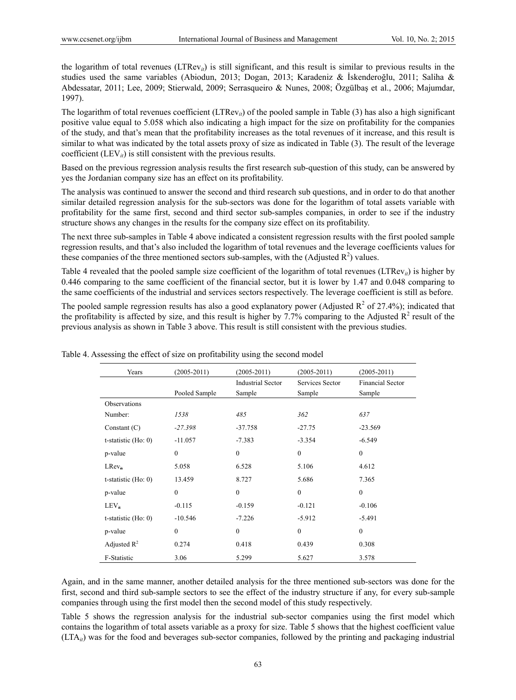the logarithm of total revenues (LTRev<sub>it</sub>) is still significant, and this result is similar to previous results in the studies used the same variables (Abiodun, 2013; Dogan, 2013; Karadeniz & İskenderoğlu, 2011; Saliha & Abdessatar, 2011; Lee, 2009; Stierwald, 2009; Serrasqueiro & Nunes, 2008; Özgülbaş et al., 2006; Majumdar, 1997).

The logarithm of total revenues coefficient (LTRev<sub>*it*</sub>) of the pooled sample in Table (3) has also a high significant positive value equal to 5.058 which also indicating a high impact for the size on profitability for the companies of the study, and that's mean that the profitability increases as the total revenues of it increase, and this result is similar to what was indicated by the total assets proxy of size as indicated in Table (3). The result of the leverage coefficient  $(LEV_{it})$  is still consistent with the previous results.

Based on the previous regression analysis results the first research sub-question of this study, can be answered by yes the Jordanian company size has an effect on its profitability.

The analysis was continued to answer the second and third research sub questions, and in order to do that another similar detailed regression analysis for the sub-sectors was done for the logarithm of total assets variable with profitability for the same first, second and third sector sub-samples companies, in order to see if the industry structure shows any changes in the results for the company size effect on its profitability.

The next three sub-samples in Table 4 above indicated a consistent regression results with the first pooled sample regression results, and that's also included the logarithm of total revenues and the leverage coefficients values for these companies of the three mentioned sectors sub-samples, with the  $(Adjusted R<sup>2</sup>)$  values.

Table 4 revealed that the pooled sample size coefficient of the logarithm of total revenues (LTRev<sub>it</sub>) is higher by 0.446 comparing to the same coefficient of the financial sector, but it is lower by 1.47 and 0.048 comparing to the same coefficients of the industrial and services sectors respectively. The leverage coefficient is still as before.

The pooled sample regression results has also a good explanatory power (Adjusted  $\mathbb{R}^2$  of 27.4%); indicated that the profitability is affected by size, and this result is higher by 7.7% comparing to the Adjusted  $\mathbb{R}^2$  result of the previous analysis as shown in Table 3 above. This result is still consistent with the previous studies.

| Years                   | $(2005 - 2011)$ | $(2005 - 2011)$          | $(2005 - 2011)$ | $(2005 - 2011)$         |
|-------------------------|-----------------|--------------------------|-----------------|-------------------------|
|                         |                 | <b>Industrial Sector</b> | Services Sector | <b>Financial Sector</b> |
|                         | Pooled Sample   | Sample                   | Sample          | Sample                  |
| Observations            |                 |                          |                 |                         |
| Number:                 | 1538            | 485                      | 362             | 637                     |
| Constant $(C)$          | $-27.398$       | $-37.758$                | $-27.75$        | $-23.569$               |
| $t$ -statistic (Ho: 0)  | $-11.057$       | $-7.383$                 | $-3.354$        | $-6.549$                |
| p-value                 | $\mathbf{0}$    | $\mathbf{0}$             | $\mathbf{0}$    | $\mathbf{0}$            |
| $LRev_{4}$              | 5.058           | 6.528                    | 5.106           | 4.612                   |
| t-statistic $(Ho: 0)$   | 13.459          | 8.727                    | 5.686           | 7.365                   |
| p-value                 | $\mathbf{0}$    | $\mathbf{0}$             | $\Omega$        | $\mathbf{0}$            |
| $LEV_{\dot{\ast}}$      | $-0.115$        | $-0.159$                 | $-0.121$        | $-0.106$                |
| $t$ -statistic (Ho: 0)  | $-10.546$       | $-7.226$                 | $-5.912$        | $-5.491$                |
| p-value                 | $\mathbf{0}$    | $\mathbf{0}$             | $\mathbf{0}$    | $\mathbf{0}$            |
| Adjusted $\mathbb{R}^2$ | 0.274           | 0.418                    | 0.439           | 0.308                   |
| F-Statistic             | 3.06            | 5.299                    | 5.627           | 3.578                   |

Table 4. Assessing the effect of size on profitability using the second model

Again, and in the same manner, another detailed analysis for the three mentioned sub-sectors was done for the first, second and third sub-sample sectors to see the effect of the industry structure if any, for every sub-sample companies through using the first model then the second model of this study respectively.

Table 5 shows the regression analysis for the industrial sub-sector companies using the first model which contains the logarithm of total assets variable as a proxy for size. Table 5 shows that the highest coefficient value  $(LTA_{ii})$  was for the food and beverages sub-sector companies, followed by the printing and packaging industrial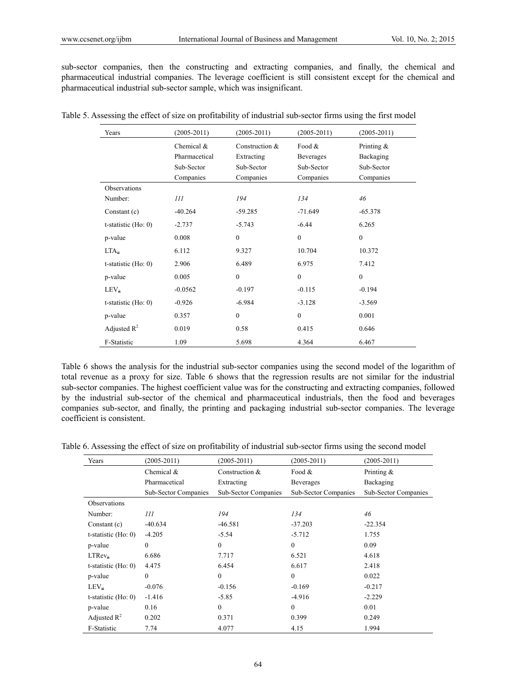sub-sector companies, then the constructing and extracting companies, and finally, the chemical and pharmaceutical industrial companies. The leverage coefficient is still consistent except for the chemical and pharmaceutical industrial sub-sector sample, which was insignificant.

| Years                  | $(2005 - 2011)$ | $(2005 - 2011)$ | $(2005 - 2011)$ | $(2005 - 2011)$ |
|------------------------|-----------------|-----------------|-----------------|-----------------|
|                        | Chemical &      | Construction &  | Food $&$        | Printing &      |
|                        | Pharmacetical   | Extracting      | Beverages       | Backaging       |
|                        | Sub-Sector      | Sub-Sector      | Sub-Sector      | Sub-Sector      |
|                        | Companies       | Companies       | Companies       | Companies       |
| Observations           |                 |                 |                 |                 |
| Number:                | III             | 194             | 134             | 46              |
| Constant (c)           | $-40.264$       | $-59.285$       | $-71.649$       | $-65.378$       |
| $t$ -statistic (Ho: 0) | $-2.737$        | $-5.743$        | $-6.44$         | 6.265           |
| p-value                | 0.008           | $\mathbf{0}$    | $\overline{0}$  | $\mathbf{0}$    |
| $LTA_{\#}$             | 6.112           | 9.327           | 10.704          | 10.372          |
| $t$ -statistic (Ho: 0) | 2.906           | 6.489           | 6.975           | 7.412           |
| p-value                | 0.005           | $\mathbf{0}$    | $\overline{0}$  | $\mathbf{0}$    |
| $LEV_{\dot{\ast}}$     | $-0.0562$       | $-0.197$        | $-0.115$        | $-0.194$        |
| $t$ -statistic (Ho: 0) | $-0.926$        | $-6.984$        | $-3.128$        | $-3.569$        |
| p-value                | 0.357           | $\mathbf{0}$    | $\mathbf{0}$    | 0.001           |
| Adjusted $R^2$         | 0.019           | 0.58            | 0.415           | 0.646           |
| F-Statistic            | 1.09            | 5.698           | 4.364           | 6.467           |

Table 5. Assessing the effect of size on profitability of industrial sub-sector firms using the first model

Table 6 shows the analysis for the industrial sub-sector companies using the second model of the logarithm of total revenue as a proxy for size. Table 6 shows that the regression results are not similar for the industrial sub-sector companies. The highest coefficient value was for the constructing and extracting companies, followed by the industrial sub-sector of the chemical and pharmaceutical industrials, then the food and beverages companies sub-sector, and finally, the printing and packaging industrial sub-sector companies. The leverage coefficient is consistent.

Table 6. Assessing the effect of size on profitability of industrial sub-sector firms using the second model

| Years                 | $(2005 - 2011)$      | $(2005 - 2011)$             | $(2005 - 2011)$             | $(2005 - 2011)$             |
|-----------------------|----------------------|-----------------------------|-----------------------------|-----------------------------|
|                       | Chemical $&$         | Construction &              | Food $&$                    | Printing $\&$               |
|                       | Pharmacetical        | Extracting                  | Beverages                   | Backaging                   |
|                       | Sub-Sector Companies | <b>Sub-Sector Companies</b> | <b>Sub-Sector Companies</b> | <b>Sub-Sector Companies</b> |
| Observations          |                      |                             |                             |                             |
| Number:               | 111                  | 194                         | 134                         | 46                          |
| Constant $(c)$        | $-40.634$            | $-46.581$                   | $-37.203$                   | $-22.354$                   |
| t-statistic $(Ho: 0)$ | $-4.205$             | $-5.54$                     | $-5.712$                    | 1.755                       |
| p-value               | $\theta$             | $\mathbf{0}$                | $\mathbf{0}$                | 0.09                        |
| LTRev <sub>#</sub>    | 6.686                | 7.717                       | 6.521                       | 4.618                       |
| t-statistic $(Ho: 0)$ | 4.475                | 6.454                       | 6.617                       | 2.418                       |
| p-value               | $\theta$             | $\theta$                    | $\theta$                    | 0.022                       |
| $LEV_{\dot{\ast}}$    | $-0.076$             | $-0.156$                    | $-0.169$                    | $-0.217$                    |
| t-statistic $(Ho: 0)$ | $-1.416$             | $-5.85$                     | $-4.916$                    | $-2.229$                    |
| p-value               | 0.16                 | $\theta$                    | $\theta$                    | 0.01                        |
| Adjusted $R^2$        | 0.202                | 0.371                       | 0.399                       | 0.249                       |
| F-Statistic           | 7.74                 | 4.077                       | 4.15                        | 1.994                       |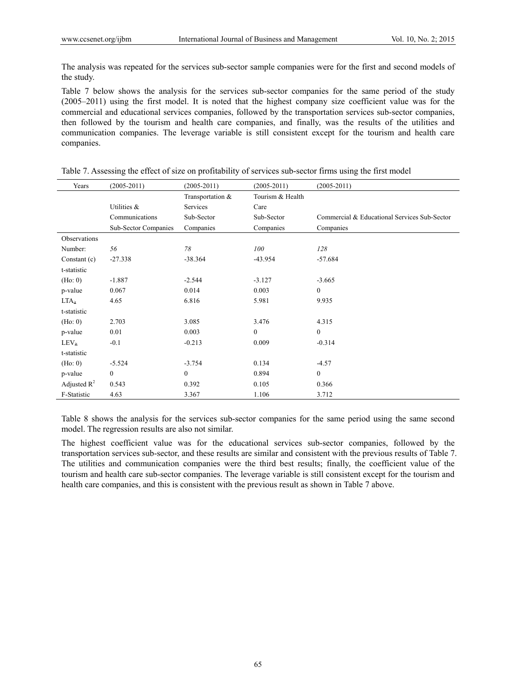The analysis was repeated for the services sub-sector sample companies were for the first and second models of the study.

Table 7 below shows the analysis for the services sub-sector companies for the same period of the study (2005–2011) using the first model. It is noted that the highest company size coefficient value was for the commercial and educational services companies, followed by the transportation services sub-sector companies, then followed by the tourism and health care companies, and finally, was the results of the utilities and communication companies. The leverage variable is still consistent except for the tourism and health care companies.

| Years                   | $(2005 - 2011)$      | $(2005 - 2011)$  | $(2005 - 2011)$  | $(2005 - 2011)$                              |
|-------------------------|----------------------|------------------|------------------|----------------------------------------------|
|                         |                      | Transportation & | Tourism & Health |                                              |
|                         | Utilities &          | Services         | Care             |                                              |
|                         | Communications       | Sub-Sector       | Sub-Sector       | Commercial & Educational Services Sub-Sector |
|                         | Sub-Sector Companies | Companies        | Companies        | Companies                                    |
| Observations            |                      |                  |                  |                                              |
| Number:                 | 56                   | 78               | 100              | 128                                          |
| Constant $(c)$          | $-27.338$            | $-38.364$        | $-43.954$        | $-57.684$                                    |
| t-statistic             |                      |                  |                  |                                              |
| (Ho: 0)                 | $-1.887$             | $-2.544$         | $-3.127$         | $-3.665$                                     |
| p-value                 | 0.067                | 0.014            | 0.003            | $\boldsymbol{0}$                             |
| LTA <sub>#</sub>        | 4.65                 | 6.816            | 5.981            | 9.935                                        |
| t-statistic             |                      |                  |                  |                                              |
| (Ho: 0)                 | 2.703                | 3.085            | 3.476            | 4.315                                        |
| p-value                 | 0.01                 | 0.003            | $\overline{0}$   | $\mathbf{0}$                                 |
| $LEV_{\dot{\ast}}$      | $-0.1$               | $-0.213$         | 0.009            | $-0.314$                                     |
| t-statistic             |                      |                  |                  |                                              |
| (Ho: 0)                 | $-5.524$             | $-3.754$         | 0.134            | $-4.57$                                      |
| p-value                 | $\overline{0}$       | $\mathbf{0}$     | 0.894            | $\mathbf{0}$                                 |
| Adjusted $\mathbb{R}^2$ | 0.543                | 0.392            | 0.105            | 0.366                                        |
| F-Statistic             | 4.63                 | 3.367            | 1.106            | 3.712                                        |

| Table 7. Assessing the effect of size on profitability of services sub-sector firms using the first model |  |  |
|-----------------------------------------------------------------------------------------------------------|--|--|
|                                                                                                           |  |  |

Table 8 shows the analysis for the services sub-sector companies for the same period using the same second model. The regression results are also not similar.

The highest coefficient value was for the educational services sub-sector companies, followed by the transportation services sub-sector, and these results are similar and consistent with the previous results of Table 7. The utilities and communication companies were the third best results; finally, the coefficient value of the tourism and health care sub-sector companies. The leverage variable is still consistent except for the tourism and health care companies, and this is consistent with the previous result as shown in Table 7 above.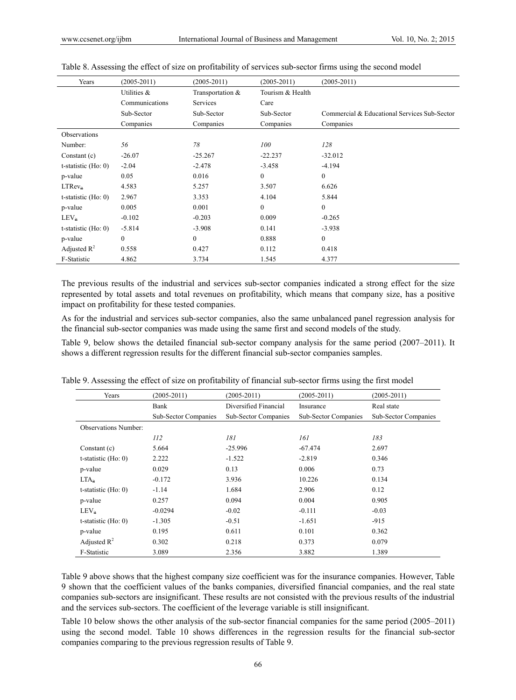| Years                 | $(2005 - 2011)$ | $(2005 - 2011)$     | $(2005 - 2011)$  | $(2005 - 2011)$                              |
|-----------------------|-----------------|---------------------|------------------|----------------------------------------------|
|                       | Utilities $\&$  | Transportation $\&$ | Tourism & Health |                                              |
|                       | Communications  | <b>Services</b>     | Care             |                                              |
|                       | Sub-Sector      | Sub-Sector          | Sub-Sector       | Commercial & Educational Services Sub-Sector |
|                       | Companies       | Companies           | Companies        | Companies                                    |
| Observations          |                 |                     |                  |                                              |
| Number:               | 56              | 78                  | 100              | 128                                          |
| Constant (c)          | $-26.07$        | $-25.267$           | $-22.237$        | $-32.012$                                    |
| t-statistic $(Ho: 0)$ | $-2.04$         | $-2.478$            | $-3.458$         | $-4.194$                                     |
| p-value               | 0.05            | 0.016               | $\mathbf{0}$     | $\mathbf{0}$                                 |
| LTRev <sub>it</sub>   | 4.583           | 5.257               | 3.507            | 6.626                                        |
| t-statistic $(Ho: 0)$ | 2.967           | 3.353               | 4.104            | 5.844                                        |
| p-value               | 0.005           | 0.001               | $\mathbf{0}$     | $\mathbf{0}$                                 |
| $LEV_{\mu}$           | $-0.102$        | $-0.203$            | 0.009            | $-0.265$                                     |
| t-statistic $(Ho: 0)$ | $-5.814$        | $-3.908$            | 0.141            | $-3.938$                                     |
| p-value               | $\mathbf{0}$    | $\theta$            | 0.888            | $\mathbf{0}$                                 |
| Adjusted $R^2$        | 0.558           | 0.427               | 0.112            | 0.418                                        |
| F-Statistic           | 4.862           | 3.734               | 1.545            | 4.377                                        |

|  |  | Table 8. Assessing the effect of size on profitability of services sub-sector firms using the second model |  |  |  |  |
|--|--|------------------------------------------------------------------------------------------------------------|--|--|--|--|
|  |  |                                                                                                            |  |  |  |  |

The previous results of the industrial and services sub-sector companies indicated a strong effect for the size represented by total assets and total revenues on profitability, which means that company size, has a positive impact on profitability for these tested companies.

As for the industrial and services sub-sector companies, also the same unbalanced panel regression analysis for the financial sub-sector companies was made using the same first and second models of the study.

Table 9, below shows the detailed financial sub-sector company analysis for the same period (2007–2011). It shows a different regression results for the different financial sub-sector companies samples.

| Years                       | $(2005 - 2011)$             | $(2005 - 2011)$             | $(2005 - 2011)$             | $(2005 - 2011)$             |
|-----------------------------|-----------------------------|-----------------------------|-----------------------------|-----------------------------|
|                             | Bank                        | Diversified Financial       | Insurance                   | Real state                  |
|                             | <b>Sub-Sector Companies</b> | <b>Sub-Sector Companies</b> | <b>Sub-Sector Companies</b> | <b>Sub-Sector Companies</b> |
| <b>Observations Number:</b> |                             |                             |                             |                             |
|                             | 112                         | 181                         | 161                         | 183                         |
| Constant (c)                | 5.664                       | $-25.996$                   | $-67.474$                   | 2.697                       |
| t-statistic $(Ho: 0)$       | 2.222                       | $-1.522$                    | $-2.819$                    | 0.346                       |
| p-value                     | 0.029                       | 0.13                        | 0.006                       | 0.73                        |
| $LTA_{\dot{\ast}}$          | $-0.172$                    | 3.936                       | 10.226                      | 0.134                       |
| t-statistic $(Ho: 0)$       | $-1.14$                     | 1.684                       | 2.906                       | 0.12                        |
| p-value                     | 0.257                       | 0.094                       | 0.004                       | 0.905                       |
| $LEV_{\dot{\ast}}$          | $-0.0294$                   | $-0.02$                     | $-0.111$                    | $-0.03$                     |
| t-statistic $(Ho: 0)$       | $-1.305$                    | $-0.51$                     | $-1.651$                    | $-915$                      |
| p-value                     | 0.195                       | 0.611                       | 0.101                       | 0.362                       |
| Adjusted $\mathbb{R}^2$     | 0.302                       | 0.218                       | 0.373                       | 0.079                       |
| F-Statistic                 | 3.089                       | 2.356                       | 3.882                       | 1.389                       |

Table 9. Assessing the effect of size on profitability of financial sub-sector firms using the first model

Table 9 above shows that the highest company size coefficient was for the insurance companies. However, Table 9 shown that the coefficient values of the banks companies, diversified financial companies, and the real state companies sub-sectors are insignificant. These results are not consisted with the previous results of the industrial and the services sub-sectors. The coefficient of the leverage variable is still insignificant.

Table 10 below shows the other analysis of the sub-sector financial companies for the same period (2005–2011) using the second model. Table 10 shows differences in the regression results for the financial sub-sector companies comparing to the previous regression results of Table 9.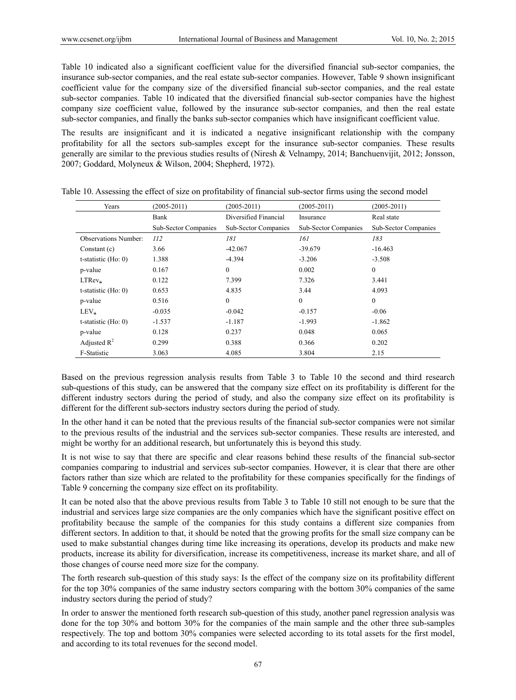Table 10 indicated also a significant coefficient value for the diversified financial sub-sector companies, the insurance sub-sector companies, and the real estate sub-sector companies. However, Table 9 shown insignificant coefficient value for the company size of the diversified financial sub-sector companies, and the real estate sub-sector companies. Table 10 indicated that the diversified financial sub-sector companies have the highest company size coefficient value, followed by the insurance sub-sector companies, and then the real estate sub-sector companies, and finally the banks sub-sector companies which have insignificant coefficient value.

The results are insignificant and it is indicated a negative insignificant relationship with the company profitability for all the sectors sub-samples except for the insurance sub-sector companies. These results generally are similar to the previous studies results of (Niresh & Velnampy, 2014; Banchuenvijit, 2012; Jonsson, 2007; Goddard, Molyneux & Wilson, 2004; Shepherd, 1972).

| Years                       | $(2005 - 2011)$             | $(2005 - 2011)$             | $(2005 - 2011)$             | $(2005 - 2011)$             |
|-----------------------------|-----------------------------|-----------------------------|-----------------------------|-----------------------------|
|                             | Bank                        | Diversified Financial       | Insurance                   | Real state                  |
|                             | <b>Sub-Sector Companies</b> | <b>Sub-Sector Companies</b> | <b>Sub-Sector Companies</b> | <b>Sub-Sector Companies</b> |
| <b>Observations Number:</b> | 112                         | 181                         | 161                         | 183                         |
| Constant (c)                | 3.66                        | $-42.067$                   | $-39.679$                   | $-16.463$                   |
| t-statistic $(Ho: 0)$       | 1.388                       | $-4.394$                    | $-3.206$                    | $-3.508$                    |
| p-value                     | 0.167                       | $\theta$                    | 0.002                       | $\theta$                    |
| LTRev <sub>ir</sub>         | 0.122                       | 7.399                       | 7.326                       | 3.441                       |
| t-statistic $(Ho: 0)$       | 0.653                       | 4.835                       | 3.44                        | 4.093                       |
| p-value                     | 0.516                       | $\theta$                    | $\mathbf{0}$                | $\mathbf{0}$                |
| $LEV_{\dot{\mu}}$           | $-0.035$                    | $-0.042$                    | $-0.157$                    | $-0.06$                     |
| t-statistic $(Ho: 0)$       | $-1.537$                    | $-1.187$                    | $-1.993$                    | $-1.862$                    |
| p-value                     | 0.128                       | 0.237                       | 0.048                       | 0.065                       |
| Adjusted $R^2$              | 0.299                       | 0.388                       | 0.366                       | 0.202                       |
| F-Statistic                 | 3.063                       | 4.085                       | 3.804                       | 2.15                        |

| Table 10. Assessing the effect of size on profitability of financial sub-sector firms using the second model |  |  |  |
|--------------------------------------------------------------------------------------------------------------|--|--|--|
|                                                                                                              |  |  |  |

Based on the previous regression analysis results from Table 3 to Table 10 the second and third research sub-questions of this study, can be answered that the company size effect on its profitability is different for the different industry sectors during the period of study, and also the company size effect on its profitability is different for the different sub-sectors industry sectors during the period of study.

In the other hand it can be noted that the previous results of the financial sub-sector companies were not similar to the previous results of the industrial and the services sub-sector companies. These results are interested, and might be worthy for an additional research, but unfortunately this is beyond this study.

It is not wise to say that there are specific and clear reasons behind these results of the financial sub-sector companies comparing to industrial and services sub-sector companies. However, it is clear that there are other factors rather than size which are related to the profitability for these companies specifically for the findings of Table 9 concerning the company size effect on its profitability.

It can be noted also that the above previous results from Table 3 to Table 10 still not enough to be sure that the industrial and services large size companies are the only companies which have the significant positive effect on profitability because the sample of the companies for this study contains a different size companies from different sectors. In addition to that, it should be noted that the growing profits for the small size company can be used to make substantial changes during time like increasing its operations, develop its products and make new products, increase its ability for diversification, increase its competitiveness, increase its market share, and all of those changes of course need more size for the company.

The forth research sub-question of this study says: Is the effect of the company size on its profitability different for the top 30% companies of the same industry sectors comparing with the bottom 30% companies of the same industry sectors during the period of study?

In order to answer the mentioned forth research sub-question of this study, another panel regression analysis was done for the top 30% and bottom 30% for the companies of the main sample and the other three sub-samples respectively. The top and bottom 30% companies were selected according to its total assets for the first model, and according to its total revenues for the second model.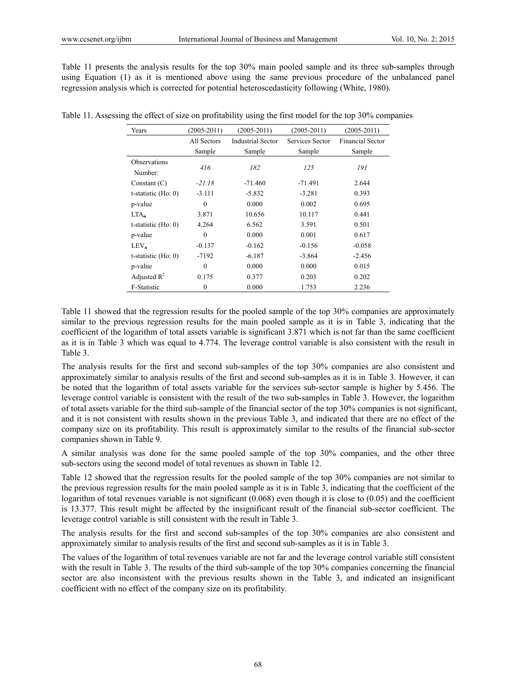Table 11 presents the analysis results for the top 30% main pooled sample and its three sub-samples through using Equation (1) as it is mentioned above using the same previous procedure of the unbalanced panel regression analysis which is corrected for potential heteroscedasticity following (White, 1980).

| Years                          | $(2005 - 2011)$ | $(2005 - 2011)$          | $(2005 - 2011)$ | $(2005 - 2011)$         |
|--------------------------------|-----------------|--------------------------|-----------------|-------------------------|
|                                | All Sectors     | <b>Industrial Sector</b> | Services Sector | <b>Financial Sector</b> |
|                                | Sample          | Sample                   | Sample          | Sample                  |
| <b>Observations</b><br>Number: | 416             | 182                      | 125             | 191                     |
| Constant $(C)$                 | $-21.18$        | $-71.460$                | $-71.491$       | 2.644                   |
| $t$ -statistic (Ho: 0)         | $-3.111$        | $-5.832$                 | $-3.281$        | 0.393                   |
| p-value                        | $\theta$        | 0.000                    | 0.002           | 0.695                   |
| $LTA_{44}$                     | 3.871           | 10.656                   | 10.117          | 0.441                   |
| $t$ -statistic (Ho: 0)         | 4.264           | 6.562                    | 3.591           | 0.501                   |
| p-value                        | $\theta$        | 0.000                    | 0.001           | 0.617                   |
| $LEV_{\dot{\ast}}$             | $-0.137$        | $-0.162$                 | $-0.156$        | $-0.058$                |
| $t$ -statistic (Ho: 0)         | $-7192$         | $-6.187$                 | $-3.864$        | $-2.456$                |
| p-value                        | $\theta$        | 0.000                    | 0.000           | 0.015                   |
| Adjusted $R^2$                 | 0.175           | 0.377                    | 0.203           | 0.202                   |
| F-Statistic                    | $\theta$        | 0.000                    | 1.753           | 2.236                   |

Table 11. Assessing the effect of size on profitability using the first model for the top 30% companies

Table 11 showed that the regression results for the pooled sample of the top 30% companies are approximately similar to the previous regression results for the main pooled sample as it is in Table 3, indicating that the coefficient of the logarithm of total assets variable is significant 3.871 which is not far than the same coefficient as it is in Table 3 which was equal to 4.774. The leverage control variable is also consistent with the result in Table 3.

The analysis results for the first and second sub-samples of the top 30% companies are also consistent and approximately similar to analysis results of the first and second sub-samples as it is in Table 3. However, it can be noted that the logarithm of total assets variable for the services sub-sector sample is higher by 5.456. The leverage control variable is consistent with the result of the two sub-samples in Table 3. However, the logarithm of total assets variable for the third sub-sample of the financial sector of the top 30% companies is not significant, and it is not consistent with results shown in the previous Table 3, and indicated that there are no effect of the company size on its profitability. This result is approximately similar to the results of the financial sub-sector companies shown in Table 9.

A similar analysis was done for the same pooled sample of the top 30% companies, and the other three sub-sectors using the second model of total revenues as shown in Table 12.

Table 12 showed that the regression results for the pooled sample of the top 30% companies are not similar to the previous regression results for the main pooled sample as it is in Table 3, indicating that the coefficient of the logarithm of total revenues variable is not significant (0.068) even though it is close to (0.05) and the coefficient is 13.377. This result might be affected by the insignificant result of the financial sub-sector coefficient. The leverage control variable is still consistent with the result in Table 3.

The analysis results for the first and second sub-samples of the top 30% companies are also consistent and approximately similar to analysis results of the first and second sub-samples as it is in Table 3.

The values of the logarithm of total revenues variable are not far and the leverage control variable still consistent with the result in Table 3. The results of the third sub-sample of the top 30% companies concerning the financial sector are also inconsistent with the previous results shown in the Table 3, and indicated an insignificant coefficient with no effect of the company size on its profitability.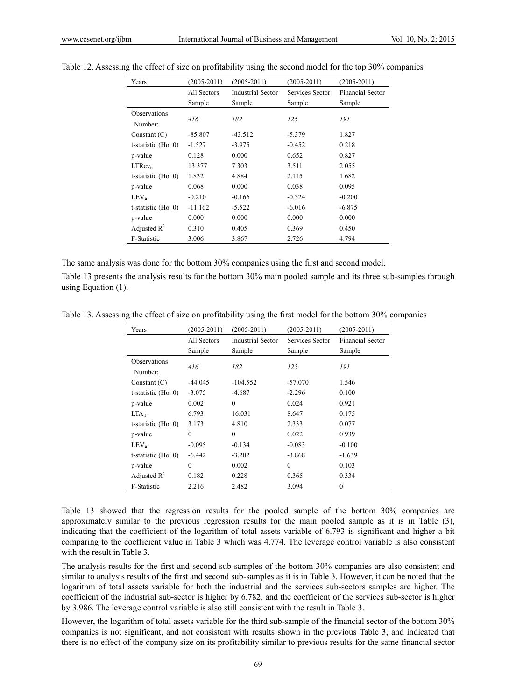| Years                   | $(2005 - 2011)$ | $(2005 - 2011)$          | $(2005 - 2011)$ | $(2005 - 2011)$         |
|-------------------------|-----------------|--------------------------|-----------------|-------------------------|
|                         | All Sectors     | <b>Industrial Sector</b> | Services Sector | <b>Financial Sector</b> |
|                         | Sample          | Sample                   | Sample          | Sample                  |
| Observations            | 416             | 182                      | 125             | 191                     |
| Number:                 |                 |                          |                 |                         |
| Constant $(C)$          | $-85.807$       | $-43.512$                | $-5.379$        | 1.827                   |
| t-statistic $(Ho: 0)$   | $-1.527$        | $-3.975$                 | $-0.452$        | 0.218                   |
| p-value                 | 0.128           | 0.000                    | 0.652           | 0.827                   |
| LTRev <sub>it</sub>     | 13.377          | 7.303                    | 3.511           | 2.055                   |
| $t$ -statistic (Ho: 0)  | 1.832           | 4.884                    | 2.115           | 1.682                   |
| p-value                 | 0.068           | 0.000                    | 0.038           | 0.095                   |
| $LEV_{\dot{\imath}}$    | $-0.210$        | $-0.166$                 | $-0.324$        | $-0.200$                |
| $t$ -statistic (Ho: 0)  | $-11.162$       | $-5.522$                 | $-6.016$        | $-6.875$                |
| p-value                 | 0.000           | 0.000                    | 0.000           | 0.000                   |
| Adjusted $\mathbb{R}^2$ | 0.310           | 0.405                    | 0.369           | 0.450                   |
| F-Statistic             | 3.006           | 3.867                    | 2.726           | 4.794                   |

#### Table 12. Assessing the effect of size on profitability using the second model for the top 30% companies

The same analysis was done for the bottom 30% companies using the first and second model.

Table 13 presents the analysis results for the bottom 30% main pooled sample and its three sub-samples through using Equation (1).

Table 13. Assessing the effect of size on profitability using the first model for the bottom 30% companies

| Years                   | $(2005 - 2011)$ | $(2005 - 2011)$          | $(2005 - 2011)$ | $(2005 - 2011)$         |
|-------------------------|-----------------|--------------------------|-----------------|-------------------------|
|                         | All Sectors     | <b>Industrial Sector</b> | Services Sector | <b>Financial Sector</b> |
|                         | Sample          | Sample                   | Sample          | Sample                  |
| Observations<br>Number: | 416             | 182                      | 125             | 191                     |
| Constant $(C)$          | $-44.045$       | $-104.552$               | $-57.070$       | 1.546                   |
| $t$ -statistic (Ho: 0)  | $-3.075$        | $-4.687$                 | $-2.296$        | 0.100                   |
| p-value                 | 0.002           | $\theta$                 | 0.024           | 0.921                   |
| $LTA_{\dot{\imath}}$    | 6.793           | 16.031                   | 8.647           | 0.175                   |
| t-statistic $(Ho: 0)$   | 3.173           | 4.810                    | 2.333           | 0.077                   |
| p-value                 | $\mathbf{0}$    | $\mathbf{0}$             | 0.022           | 0.939                   |
| $LEV_{\dot{\ast}}$      | $-0.095$        | $-0.134$                 | $-0.083$        | $-0.100$                |
| t-statistic $(Ho: 0)$   | $-6.442$        | $-3.202$                 | $-3.868$        | $-1.639$                |
| p-value                 | $\mathbf{0}$    | 0.002                    | $\mathbf{0}$    | 0.103                   |
| Adjusted $R^2$          | 0.182           | 0.228                    | 0.365           | 0.334                   |
| F-Statistic             | 2.216           | 2.482                    | 3.094           | $\boldsymbol{0}$        |

Table 13 showed that the regression results for the pooled sample of the bottom 30% companies are approximately similar to the previous regression results for the main pooled sample as it is in Table (3), indicating that the coefficient of the logarithm of total assets variable of 6.793 is significant and higher a bit comparing to the coefficient value in Table 3 which was 4.774. The leverage control variable is also consistent with the result in Table 3.

The analysis results for the first and second sub-samples of the bottom 30% companies are also consistent and similar to analysis results of the first and second sub-samples as it is in Table 3. However, it can be noted that the logarithm of total assets variable for both the industrial and the services sub-sectors samples are higher. The coefficient of the industrial sub-sector is higher by 6.782, and the coefficient of the services sub-sector is higher by 3.986. The leverage control variable is also still consistent with the result in Table 3.

However, the logarithm of total assets variable for the third sub-sample of the financial sector of the bottom 30% companies is not significant, and not consistent with results shown in the previous Table 3, and indicated that there is no effect of the company size on its profitability similar to previous results for the same financial sector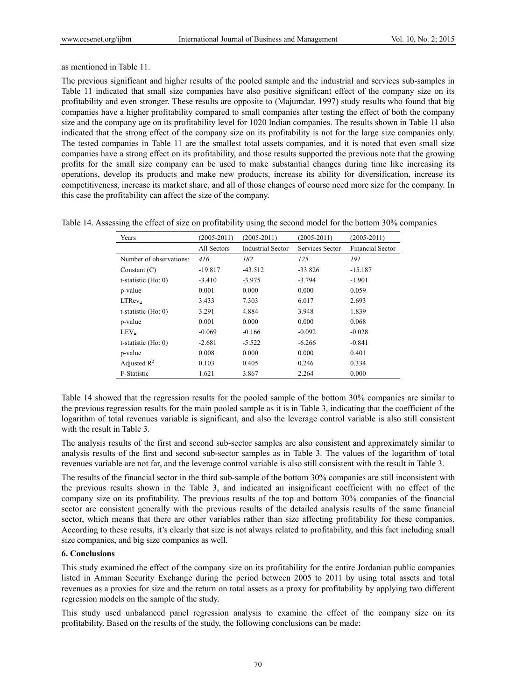as mentioned in Table 11.

The previous significant and higher results of the pooled sample and the industrial and services sub-samples in Table 11 indicated that small size companies have also positive significant effect of the company size on its profitability and even stronger. These results are opposite to (Majumdar, 1997) study results who found that big companies have a higher profitability compared to small companies after testing the effect of both the company size and the company age on its profitability level for 1020 Indian companies. The results shown in Table 11 also indicated that the strong effect of the company size on its profitability is not for the large size companies only. The tested companies in Table 11 are the smallest total assets companies, and it is noted that even small size companies have a strong effect on its profitability, and those results supported the previous note that the growing profits for the small size company can be used to make substantial changes during time like increasing its operations, develop its products and make new products, increase its ability for diversification, increase its competitiveness, increase its market share, and all of those changes of course need more size for the company. In this case the profitability can affect the size of the company.

| Years                   | $(2005 - 2011)$ | $(2005 - 2011)$          | $(2005 - 2011)$ | $(2005 - 2011)$         |
|-------------------------|-----------------|--------------------------|-----------------|-------------------------|
|                         | All Sectors     | <b>Industrial Sector</b> | Services Sector | <b>Financial Sector</b> |
| Number of observations: | 416             | 182                      | 125             | 191                     |
| Constant $(C)$          | $-19.817$       | $-43.512$                | $-33.826$       | $-15.187$               |
| $t$ -statistic (Ho: 0)  | $-3.410$        | $-3.975$                 | $-3.794$        | $-1.901$                |
| p-value                 | 0.001           | 0.000                    | 0.000           | 0.059                   |
| LTRev <sub>#</sub>      | 3.433           | 7.303                    | 6.017           | 2.693                   |
| t-statistic $(Ho: 0)$   | 3.291           | 4.884                    | 3.948           | 1.839                   |
| p-value                 | 0.001           | 0.000                    | 0.000           | 0.068                   |
| $LEV_{\dot{\imath}}$    | $-0.069$        | $-0.166$                 | $-0.092$        | $-0.028$                |
| t-statistic $(Ho: 0)$   | $-2.681$        | $-5.522$                 | $-6.266$        | $-0.841$                |
| p-value                 | 0.008           | 0.000                    | 0.000           | 0.401                   |
| Adjusted $R^2$          | 0.103           | 0.405                    | 0.246           | 0.334                   |
| F-Statistic             | 1.621           | 3.867                    | 2.264           | 0.000                   |

Table 14. Assessing the effect of size on profitability using the second model for the bottom 30% companies

Table 14 showed that the regression results for the pooled sample of the bottom 30% companies are similar to the previous regression results for the main pooled sample as it is in Table 3, indicating that the coefficient of the logarithm of total revenues variable is significant, and also the leverage control variable is also still consistent with the result in Table 3.

The analysis results of the first and second sub-sector samples are also consistent and approximately similar to analysis results of the first and second sub-sector samples as in Table 3. The values of the logarithm of total revenues variable are not far, and the leverage control variable is also still consistent with the result in Table 3.

The results of the financial sector in the third sub-sample of the bottom 30% companies are still inconsistent with the previous results shown in the Table 3, and indicated an insignificant coefficient with no effect of the company size on its profitability. The previous results of the top and bottom 30% companies of the financial sector are consistent generally with the previous results of the detailed analysis results of the same financial sector, which means that there are other variables rather than size affecting profitability for these companies. According to these results, it's clearly that size is not always related to profitability, and this fact including small size companies, and big size companies as well.

### **6. Conclusions**

This study examined the effect of the company size on its profitability for the entire Jordanian public companies listed in Amman Security Exchange during the period between 2005 to 2011 by using total assets and total revenues as a proxies for size and the return on total assets as a proxy for profitability by applying two different regression models on the sample of the study.

This study used unbalanced panel regression analysis to examine the effect of the company size on its profitability. Based on the results of the study, the following conclusions can be made: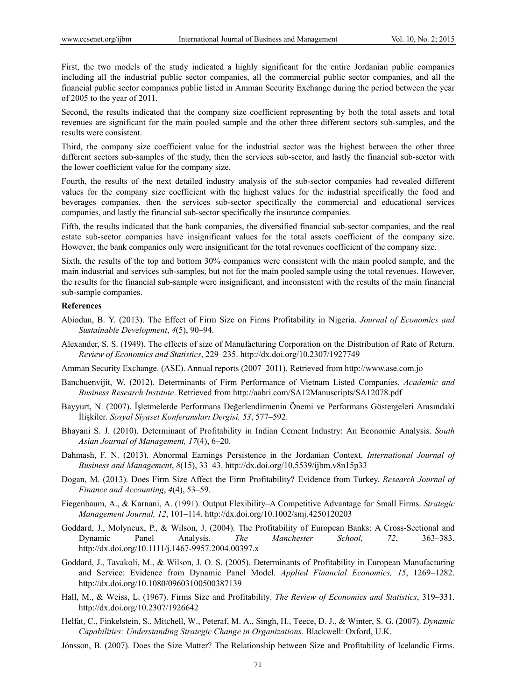First, the two models of the study indicated a highly significant for the entire Jordanian public companies including all the industrial public sector companies, all the commercial public sector companies, and all the financial public sector companies public listed in Amman Security Exchange during the period between the year of 2005 to the year of 2011.

Second, the results indicated that the company size coefficient representing by both the total assets and total revenues are significant for the main pooled sample and the other three different sectors sub-samples, and the results were consistent.

Third, the company size coefficient value for the industrial sector was the highest between the other three different sectors sub-samples of the study, then the services sub-sector, and lastly the financial sub-sector with the lower coefficient value for the company size.

Fourth, the results of the next detailed industry analysis of the sub-sector companies had revealed different values for the company size coefficient with the highest values for the industrial specifically the food and beverages companies, then the services sub-sector specifically the commercial and educational services companies, and lastly the financial sub-sector specifically the insurance companies.

Fifth, the results indicated that the bank companies, the diversified financial sub-sector companies, and the real estate sub-sector companies have insignificant values for the total assets coefficient of the company size. However, the bank companies only were insignificant for the total revenues coefficient of the company size.

Sixth, the results of the top and bottom 30% companies were consistent with the main pooled sample, and the main industrial and services sub-samples, but not for the main pooled sample using the total revenues. However, the results for the financial sub-sample were insignificant, and inconsistent with the results of the main financial sub-sample companies.

#### **References**

- Abiodun, B. Y. (2013). The Effect of Firm Size on Firms Profitability in Nigeria. *Journal of Economics and Sustainable Development*, *4*(5), 90–94.
- Alexander, S. S. (1949). The effects of size of Manufacturing Corporation on the Distribution of Rate of Return. *Review of Economics and Statistics*, 229–235. http://dx.doi.org/10.2307/1927749
- Amman Security Exchange. (ASE). Annual reports (2007–2011). Retrieved from http://www.ase.com.jo
- Banchuenvijit, W. (2012). Determinants of Firm Performance of Vietnam Listed Companies. *Academic and Business Research Instıtute*. Retrieved from http://aabri.com/SA12Manuscripts/SA12078.pdf
- Bayyurt, N. (2007). İşletmelerde Performans Değerlendirmenin Önemi ve Performans Göstergeleri Arasındaki İlişkiler*. Sosyal Siyaset Konferansları Dergisi, 53*, 577–592.
- Bhayani S. J. (2010). Determinant of Profitability in Indian Cement Industry: An Economic Analysis. *South Asian Journal of Management, 17*(4), 6–20.
- Dahmash, F. N. (2013). Abnormal Earnings Persistence in the Jordanian Context. *International Journal of Business and Management*, *8*(15), 33–43. http://dx.doi.org/10.5539/ijbm.v8n15p33
- Dogan, M. (2013). Does Firm Size Affect the Firm Profitability? Evidence from Turkey. *Research Journal of Finance and Accounting*, *4*(4), 53–59.
- Fiegenbaum, A., & Karnani, A. (1991). Output Flexibility–A Competitive Advantage for Small Firms. *Strategic Management Journal, 12*, 101–114. http://dx.doi.org/10.1002/smj.4250120203
- Goddard, J., Molyneux, P., & Wilson, J. (2004). The Profitability of European Banks: A Cross-Sectional and Dynamic Panel Analysis. *The Manchester School, 72*, 363–383. http://dx.doi.org/10.1111/j.1467-9957.2004.00397.x
- Goddard, J., Tavakoli, M., & Wilson, J. O. S. (2005). Determinants of Profitability in European Manufacturing and Service: Evidence from Dynamic Panel Model. *Applied Financial Economics, 15*, 1269–1282. http://dx.doi.org/10.1080/09603100500387139
- Hall, M., & Weiss, L. (1967). Firms Size and Profitability. *The Review of Economics and Statistics*, 319–331. http://dx.doi.org/10.2307/1926642
- Helfat, C., Finkelstein, S., Mitchell, W., Peteraf, M. A., Singh, H., Teece, D. J., & Winter, S. G. (2007). *Dynamic Capabilities: Understanding Strategic Change in Organizations.* Blackwell: Oxford, U.K.
- Jónsson, B. (2007). Does the Size Matter? The Relationship between Size and Profitability of Icelandic Firms.